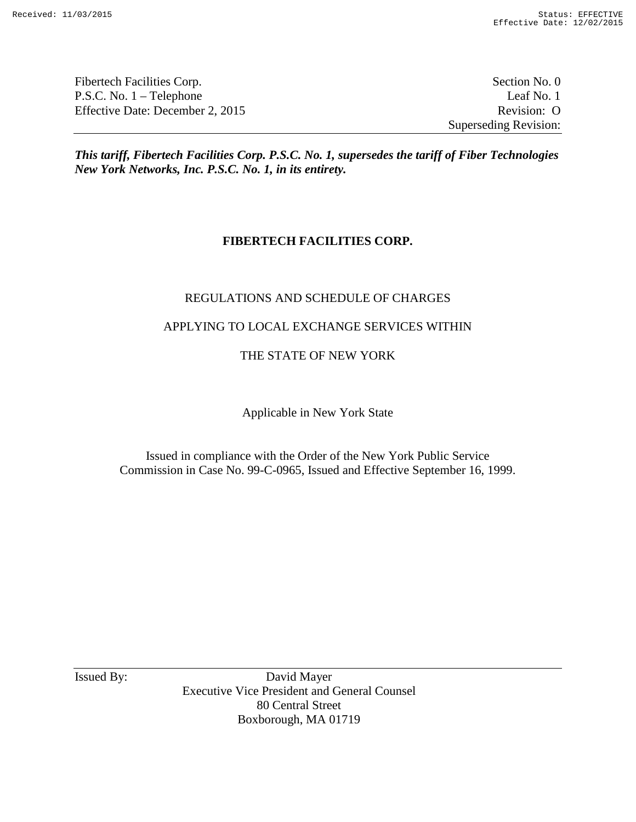Fibertech Facilities Corp. Section No. 0 P.S.C. No. 1 – Telephone Leaf No. 1 Effective Date: December 2, 2015 Revision: O

Superseding Revision:

*This tariff, Fibertech Facilities Corp. P.S.C. No. 1, supersedes the tariff of Fiber Technologies New York Networks, Inc. P.S.C. No. 1, in its entirety.*

# **FIBERTECH FACILITIES CORP.**

# REGULATIONS AND SCHEDULE OF CHARGES

## APPLYING TO LOCAL EXCHANGE SERVICES WITHIN

## THE STATE OF NEW YORK

Applicable in New York State

Issued in compliance with the Order of the New York Public Service Commission in Case No. 99-C-0965, Issued and Effective September 16, 1999.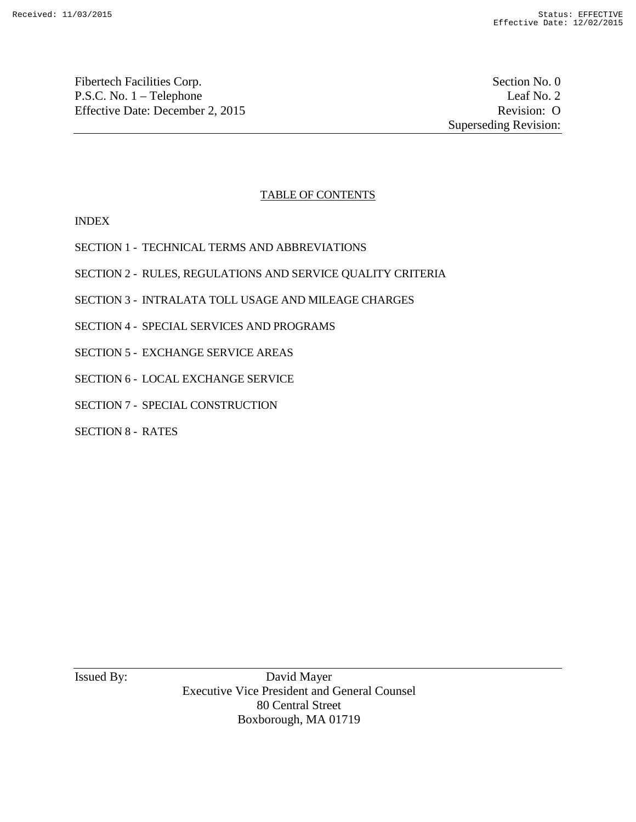Fibertech Facilities Corp. Section No. 0 P.S.C. No. 1 – Telephone Leaf No. 2 Effective Date: December 2, 2015 Revision: O

Superseding Revision:

### TABLE OF CONTENTS

INDEX

- SECTION 1 TECHNICAL TERMS AND ABBREVIATIONS
- SECTION 2 RULES, REGULATIONS AND SERVICE QUALITY CRITERIA
- SECTION 3 INTRALATA TOLL USAGE AND MILEAGE CHARGES
- SECTION 4 SPECIAL SERVICES AND PROGRAMS
- SECTION 5 EXCHANGE SERVICE AREAS
- SECTION 6 LOCAL EXCHANGE SERVICE
- SECTION 7 SPECIAL CONSTRUCTION

SECTION 8 - RATES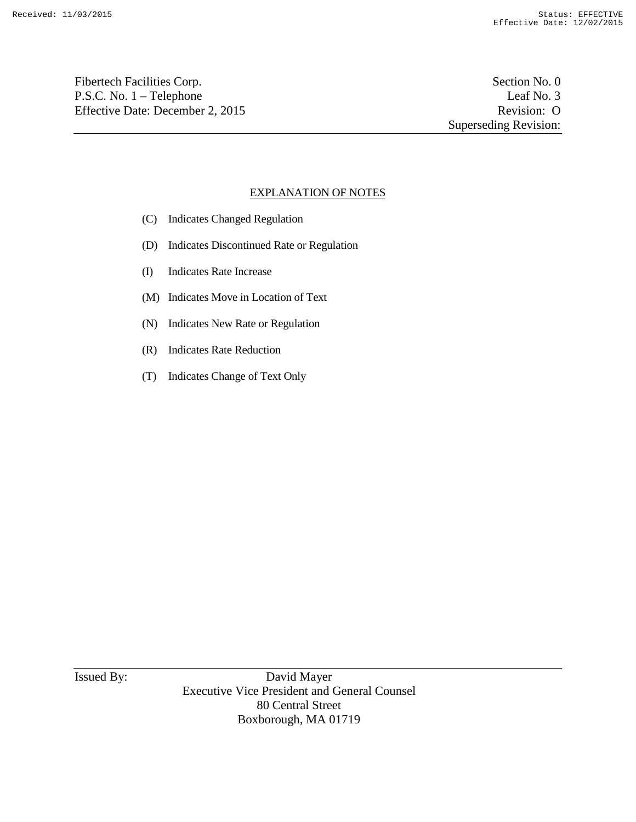Fibertech Facilities Corp. Section No. 0 P.S.C. No. 1 – Telephone Leaf No. 3 Effective Date: December 2, 2015 Revision: O

Superseding Revision:

#### EXPLANATION OF NOTES

- (C) Indicates Changed Regulation
- (D) Indicates Discontinued Rate or Regulation
- (I) Indicates Rate Increase
- (M) Indicates Move in Location of Text
- (N) Indicates New Rate or Regulation
- (R) Indicates Rate Reduction
- (T) Indicates Change of Text Only